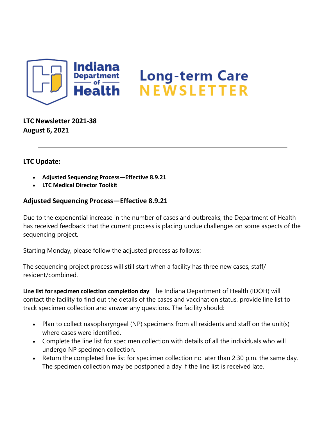

**LTC Newsletter 2021-38 August 6, 2021**

## **LTC Update:**

- **Adjusted Sequencing Process—Effective 8.9.21**
- **LTC Medical Director Toolkit**

## **Adjusted Sequencing Process—Effective 8.9.21**

Due to the exponential increase in the number of cases and outbreaks, the Department of Health has received feedback that the current process is placing undue challenges on some aspects of the sequencing project.

Starting Monday, please follow the adjusted process as follows:

The sequencing project process will still start when a facility has three new cases, staff/ resident/combined.

**Line list for specimen collection completion day**: The Indiana Department of Health (IDOH) will contact the facility to find out the details of the cases and vaccination status, provide line list to track specimen collection and answer any questions. The facility should:

- Plan to collect nasopharyngeal (NP) specimens from all residents and staff on the unit(s) where cases were identified.
- Complete the line list for specimen collection with details of all the individuals who will undergo NP specimen collection.
- Return the completed line list for specimen collection no later than 2:30 p.m. the same day. The specimen collection may be postponed a day if the line list is received late.